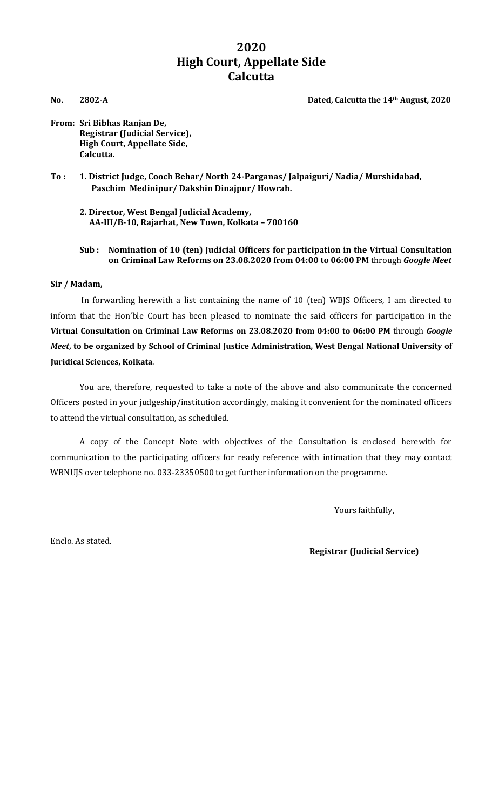# **2020 High Court, Appellate Side Calcutta**

**No. 2802-A Dated, Calcutta the 14th August, 2020**

**From: Sri Bibhas Ranjan De, Registrar (Judicial Service), High Court, Appellate Side, Calcutta.**

**To : 1. District Judge, Cooch Behar/ North 24-Parganas/ Jalpaiguri/ Nadia/ Murshidabad, Paschim Medinipur/ Dakshin Dinajpur/ Howrah.**

**2. Director, West Bengal Judicial Academy, AA-III/B-10, Rajarhat, New Town, Kolkata – 700160**

### **Sub : Nomination of 10 (ten) Judicial Officers for participation in the Virtual Consultation on Criminal Law Reforms on 23.08.2020 from 04:00 to 06:00 PM** through *Google Meet*

## **Sir / Madam,**

In forwarding herewith a list containing the name of 10 (ten) WBJS Officers, I am directed to inform that the Hon'ble Court has been pleased to nominate the said officers for participation in the **Virtual Consultation on Criminal Law Reforms on 23.08.2020 from 04:00 to 06:00 PM** through *Google Meet***, to be organized by School of Criminal Justice Administration, West Bengal National University of Juridical Sciences, Kolkata**.

You are, therefore, requested to take a note of the above and also communicate the concerned Officers posted in your judgeship/institution accordingly, making it convenient for the nominated officers to attend the virtual consultation, as scheduled.

A copy of the Concept Note with objectives of the Consultation is enclosed herewith for communication to the participating officers for ready reference with intimation that they may contact WBNUJS over telephone no. 033-23350500 to get further information on the programme.

Yours faithfully,

Enclo. As stated.

 **Registrar (Judicial Service)**